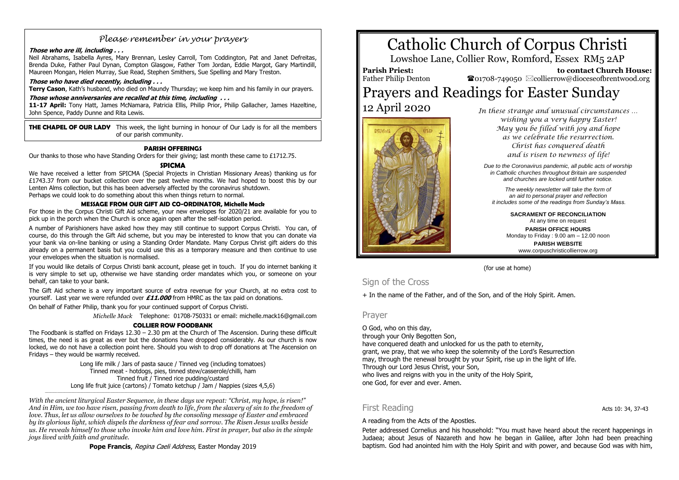## *Please remember in your prayers*

#### **Those who are ill, including . . .**

Neil Abrahams, Isabella Ayres, Mary Brennan, Lesley Carroll, Tom Coddington, Pat and Janet Defreitas, Brenda Duke, Father Paul Dynan, Compton Glasgow, Father Tom Jordan, Eddie Margot, Gary Martindill, Maureen Mongan, Helen Murray, Sue Read, Stephen Smithers, Sue Spelling and Mary Treston.

#### **Those who have died recently, including . . .**

**Terry Cason**, Kath's husband, who died on Maundy Thursday; we keep him and his family in our prayers.

#### **Those whose anniversaries are recalled at this time, including . . .**

**11-17 April:** Tony Hatt, James McNamara, Patricia Ellis, Philip Prior, Philip Gallacher, James Hazeltine, John Spence, Paddy Dunne and Rita Lewis.

**THE CHAPEL OF OUR LADY** This week, the light burning in honour of Our Lady is for all the members of our parish community.

#### **PARISH OFFERINGS**

Our thanks to those who have Standing Orders for their giving; last month these came to £1712.75.

#### **SPICMA**

We have received a letter from SPICMA (Special Projects in Christian Missionary Areas) thanking us for £1743.37 from our bucket collection over the past twelve months. We had hoped to boost this by our Lenten Alms collection, but this has been adversely affected by the coronavirus shutdown. Perhaps we could look to do something about this when things return to normal.

#### **MESSAGE FROM OUR GIFT AID CO-ORDINATOR, Michelle Mack**

For those in the Corpus Christi Gift Aid scheme, your new envelopes for 2020/21 are available for you to pick up in the porch when the Church is once again open after the self-isolation period.

A number of Parishioners have asked how they may still continue to support Corpus Christi. You can, of course, do this through the Gift Aid scheme, but you may be interested to know that you can donate via your bank via on-line banking or using a Standing Order Mandate. Many Corpus Christ gift aiders do this already on a permanent basis but you could use this as a temporary measure and then continue to use your envelopes when the situation is normalised.

If you would like details of Corpus Christi bank account, please get in touch. If you do internet banking it is very simple to set up, otherwise we have standing order mandates which you, or someone on your behalf, can take to your bank.

The Gift Aid scheme is a very important source of extra revenue for your Church, at no extra cost to yourself. Last year we were refunded over **£11.000** from HMRC as the tax paid on donations.

On behalf of Father Philip, thank you for your continued support of Corpus Christi.

*Michelle Mack* Telephone: 01708-750331 or email: michelle.mack16@gmail.com

#### **COLLIER ROW FOODBANK**

The Foodbank is staffed on Fridays  $12.30 - 2.30$  pm at the Church of The Ascension. During these difficult times, the need is as great as ever but the donations have dropped considerably. As our church is now locked, we do not have a collection point here. Should you wish to drop off donations at The Ascension on Fridays – they would be warmly received.

> Long life milk / Jars of pasta sauce / Tinned veg (including tomatoes) Tinned meat - hotdogs, pies, tinned stew/casserole/chilli, ham Tinned fruit / Tinned rice pudding/custard Long life fruit juice (cartons) / Tomato ketchup / Jam / Nappies (sizes 4,5,6)

\_\_\_\_\_\_\_\_\_\_\_\_\_\_\_\_\_\_\_\_\_\_\_\_\_\_\_\_\_\_\_\_\_\_\_\_\_\_\_\_\_\_\_\_\_\_\_\_\_\_\_\_\_\_\_\_\_\_\_\_\_\_\_\_\_\_\_\_\_\_\_\_\_\_\_\_\_\_\_\_\_\_\_\_\_\_\_\_\_\_\_\_\_\_\_\_\_\_\_\_\_\_\_\_\_\_\_\_\_\_\_\_\_\_\_\_\_\_\_\_\_\_\_\_\_\_\_\_\_\_\_\_\_\_\_\_\_\_\_\_\_\_\_\_\_

*With the ancient liturgical Easter Sequence, in these days we repeat: "Christ, my hope, is risen!" And in Him, we too have risen, passing from death to life, from the slavery of sin to the freedom of love. Thus, let us allow ourselves to be touched by the consoling message of Easter and embraced by its glorious light, which dispels the darkness of fear and sorrow. The Risen Jesus walks beside us. He reveals himself to those who invoke him and love him. First in prayer, but also in the simple joys lived with faith and gratitude.*

Pope Francis, Regina Caeli Address, Easter Monday 2019

## Catholic Church of Corpus Christi

Lowshoe Lane, Collier Row, Romford, Essex RM5 2AP

**Parish Priest:** Father Philip Denton

 **to contact Church House:**  $\bullet$ 01708-749050  $\boxtimes$ collierrow@dioceseofbrentwood.org

# Prayers and Readings for Easter Sunday



12 April 2020 *In these strange and unusual circumstances … wishing you a very happy Easter! May you be filled with joy and hope as we celebrate the resurrection. Christ has conquered death and is risen to newness of life!*

> *Due to the Coronavirus pandemic, all public acts of worship in Catholic churches throughout Britain are suspended and churches are locked until further notice.*

*The weekly newsletter will take the form of an aid to personal prayer and reflection it includes some of the readings from Sunday's Mass.*

> **SACRAMENT OF RECONCILIATION** At any time on request **PARISH OFFICE HOURS** Monday to Friday : 9.00 am – 12.00 noon **PARISH WEBSITE**

> > www.corpuschristicollierrow.org

#### (for use at home)

## Sign of the Cross

+ In the name of the Father, and of the Son, and of the Holy Spirit. Amen.

#### Prayer

O God, who on this day, through your Only Begotten Son, have conquered death and unlocked for us the path to eternity, grant, we pray, that we who keep the solemnity of the Lord's Resurrection may, through the renewal brought by your Spirit, rise up in the light of life. Through our Lord Jesus Christ, your Son, who lives and reigns with you in the unity of the Holy Spirit, one God, for ever and ever. Amen.

## First Reading **Acts** 10: 34, 37-43

A reading from the Acts of the Apostles.

Peter addressed Cornelius and his household: "You must have heard about the recent happenings in Judaea; about Jesus of Nazareth and how he began in Galilee, after John had been preaching baptism. God had anointed him with the Holy Spirit and with power, and because God was with him,